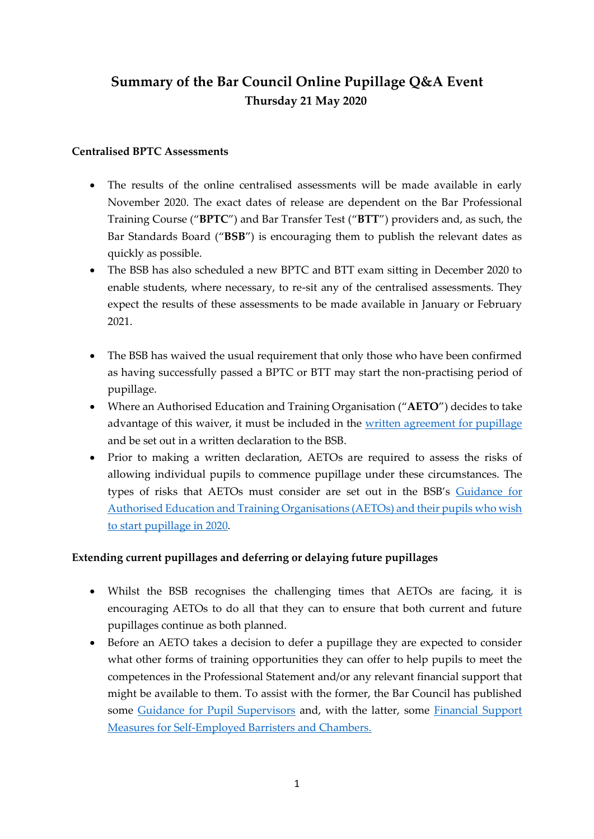# **Summary of the Bar Council Online Pupillage Q&A Event Thursday 21 May 2020**

#### **Centralised BPTC Assessments**

- The results of the online centralised assessments will be made available in early November 2020. The exact dates of release are dependent on the Bar Professional Training Course ("**BPTC**") and Bar Transfer Test ("**BTT**") providers and, as such, the Bar Standards Board ("**BSB**") is encouraging them to publish the relevant dates as quickly as possible.
- The BSB has also scheduled a new BPTC and BTT exam sitting in December 2020 to enable students, where necessary, to re-sit any of the centralised assessments. They expect the results of these assessments to be made available in January or February 2021.
- The BSB has waived the usual requirement that only those who have been confirmed as having successfully passed a BPTC or BTT may start the non-practising period of pupillage.
- Where an Authorised Education and Training Organisation ("**AETO**") decides to take advantage of this waiver, it must be included in the [written agreement for pupillage](https://www.barcouncilethics.co.uk/documents/written-pupillage-agreements/) and be set out in a written declaration to the BSB.
- Prior to making a written declaration, AETOs are required to assess the risks of allowing individual pupils to commence pupillage under these circumstances. The types of risks that AETOs must consider are set out in the BSB's [Guidance for](https://www.barstandardsboard.org.uk/uploads/assets/e6a1cbab-94de-4844-bc4c393d19105a4b/10d99422-6be4-4a97-8683cf6c24ef35b3/Guidance-for-AETOs-about-pupils-starting-pupillage-before-completing-BPTC.pdf)  [Authorised Education and Training Organisations \(AETOs\) and their pupils who wish](https://www.barstandardsboard.org.uk/uploads/assets/e6a1cbab-94de-4844-bc4c393d19105a4b/10d99422-6be4-4a97-8683cf6c24ef35b3/Guidance-for-AETOs-about-pupils-starting-pupillage-before-completing-BPTC.pdf)  [to start pupillage in 2020.](https://www.barstandardsboard.org.uk/uploads/assets/e6a1cbab-94de-4844-bc4c393d19105a4b/10d99422-6be4-4a97-8683cf6c24ef35b3/Guidance-for-AETOs-about-pupils-starting-pupillage-before-completing-BPTC.pdf)

## **Extending current pupillages and deferring or delaying future pupillages**

- Whilst the BSB recognises the challenging times that AETOs are facing, it is encouraging AETOs to do all that they can to ensure that both current and future pupillages continue as both planned.
- Before an AETO takes a decision to defer a pupillage they are expected to consider what other forms of training opportunities they can offer to help pupils to meet the competences in the Professional Statement and/or any relevant financial support that might be available to them. To assist with the former, the Bar Council has published some [Guidance for Pupil Supervisors](https://www.barcouncil.org.uk/becoming-a-barrister/pupil-barristers/pupil-supervisors-network.html) and, with the latter, some Financial Support [Measures for Self-Employed Barristers and Chambers.](https://www.barcouncil.org.uk/uploads/assets/c3cb7a2a-9725-4c67-a62a5d91ac847008/43a92dd1-c9e0-4499-8beb0ea90487babe/Financial-Support-Measures-for-Self-Employed-Barristers-and-Chambers-24-Mar-2020.pdf)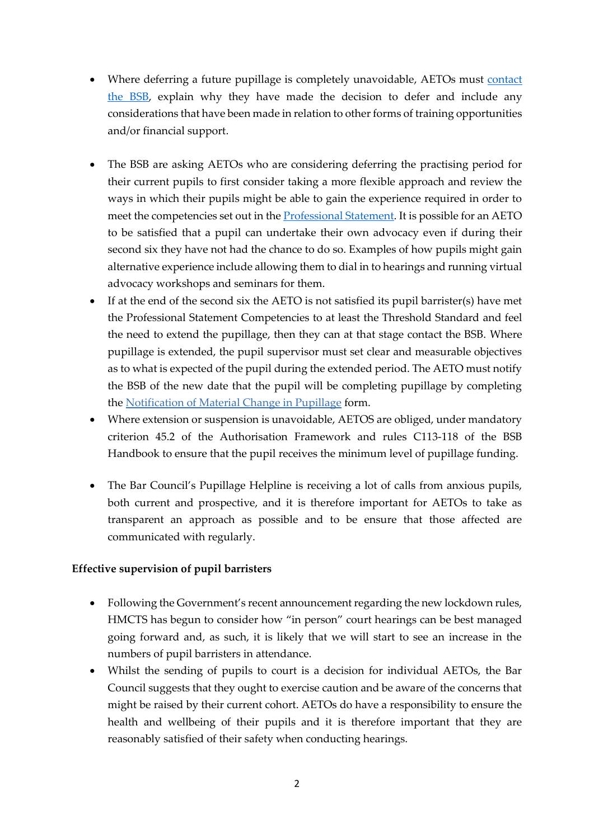- Where deferring a future pupillage is completely unavoidable, AETOs must contact [the BSB,](mailto:ROD_contingency_planning@barstandardsboard.org.uk?subject=Pupillage%20Deferral) explain why they have made the decision to defer and include any considerations that have been made in relation to other forms of training opportunities and/or financial support.
- The BSB are asking AETOs who are considering deferring the practising period for their current pupils to first consider taking a more flexible approach and review the ways in which their pupils might be able to gain the experience required in order to meet the competencies set out in the [Professional Statement.](https://www.barstandardsboard.org.uk/uploads/assets/a4556161-bd81-448d-874d40f3baaf8fe2/bsbprofessionalstatementandcompetences2016.pdf) It is possible for an AETO to be satisfied that a pupil can undertake their own advocacy even if during their second six they have not had the chance to do so. Examples of how pupils might gain alternative experience include allowing them to dial in to hearings and running virtual advocacy workshops and seminars for them.
- If at the end of the second six the AETO is not satisfied its pupil barrister(s) have met the Professional Statement Competencies to at least the Threshold Standard and feel the need to extend the pupillage, then they can at that stage contact the BSB. Where pupillage is extended, the pupil supervisor must set clear and measurable objectives as to what is expected of the pupil during the extended period. The AETO must notify the BSB of the new date that the pupil will be completing pupillage by completing the [Notification of Material Change in Pupillage](https://www.barstandardsboard.org.uk/uploads/assets/c7f469a8-66e7-4ed1-bbdd14727884050a/notificationofmaterialchangeinpupillageform2019.doc) form.
- Where extension or suspension is unavoidable, AETOS are obliged, under mandatory criterion 45.2 of the Authorisation Framework and rules C113-118 of the BSB Handbook to ensure that the pupil receives the minimum level of pupillage funding.
- The Bar Council's Pupillage Helpline is receiving a lot of calls from anxious pupils, both current and prospective, and it is therefore important for AETOs to take as transparent an approach as possible and to be ensure that those affected are communicated with regularly.

## **Effective supervision of pupil barristers**

- Following the Government's recent announcement regarding the new lockdown rules, HMCTS has begun to consider how "in person" court hearings can be best managed going forward and, as such, it is likely that we will start to see an increase in the numbers of pupil barristers in attendance.
- Whilst the sending of pupils to court is a decision for individual AETOs, the Bar Council suggests that they ought to exercise caution and be aware of the concerns that might be raised by their current cohort. AETOs do have a responsibility to ensure the health and wellbeing of their pupils and it is therefore important that they are reasonably satisfied of their safety when conducting hearings.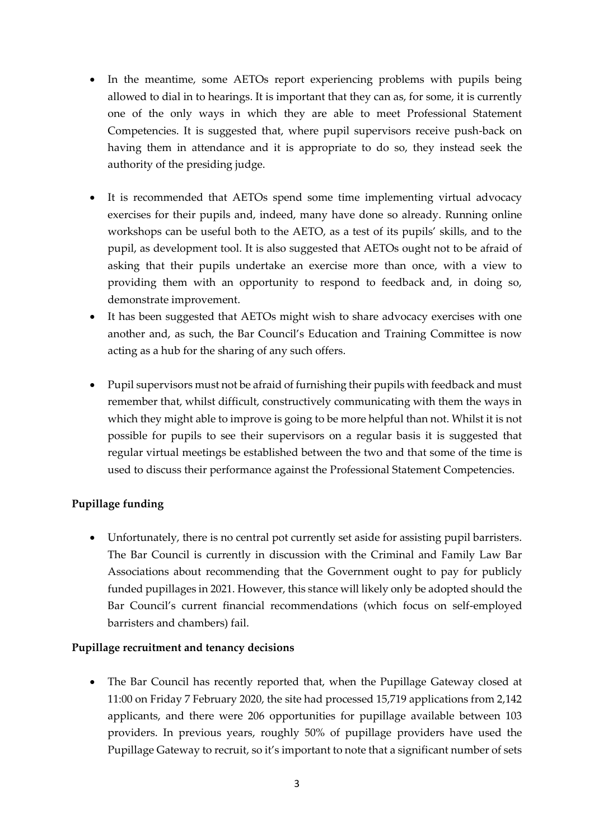- In the meantime, some AETOs report experiencing problems with pupils being allowed to dial in to hearings. It is important that they can as, for some, it is currently one of the only ways in which they are able to meet Professional Statement Competencies. It is suggested that, where pupil supervisors receive push-back on having them in attendance and it is appropriate to do so, they instead seek the authority of the presiding judge.
- It is recommended that AETOs spend some time implementing virtual advocacy exercises for their pupils and, indeed, many have done so already. Running online workshops can be useful both to the AETO, as a test of its pupils' skills, and to the pupil, as development tool. It is also suggested that AETOs ought not to be afraid of asking that their pupils undertake an exercise more than once, with a view to providing them with an opportunity to respond to feedback and, in doing so, demonstrate improvement.
- It has been suggested that AETOs might wish to share advocacy exercises with one another and, as such, the Bar Council's Education and Training Committee is now acting as a hub for the sharing of any such offers.
- Pupil supervisors must not be afraid of furnishing their pupils with feedback and must remember that, whilst difficult, constructively communicating with them the ways in which they might able to improve is going to be more helpful than not. Whilst it is not possible for pupils to see their supervisors on a regular basis it is suggested that regular virtual meetings be established between the two and that some of the time is used to discuss their performance against the Professional Statement Competencies.

## **Pupillage funding**

• Unfortunately, there is no central pot currently set aside for assisting pupil barristers. The Bar Council is currently in discussion with the Criminal and Family Law Bar Associations about recommending that the Government ought to pay for publicly funded pupillages in 2021. However, this stance will likely only be adopted should the Bar Council's current financial recommendations (which focus on self-employed barristers and chambers) fail.

#### **Pupillage recruitment and tenancy decisions**

• The Bar Council has recently reported that, when the Pupillage Gateway closed at 11:00 on Friday 7 February 2020, the site had processed 15,719 applications from 2,142 applicants, and there were 206 opportunities for pupillage available between 103 providers. In previous years, roughly 50% of pupillage providers have used the Pupillage Gateway to recruit, so it's important to note that a significant number of sets